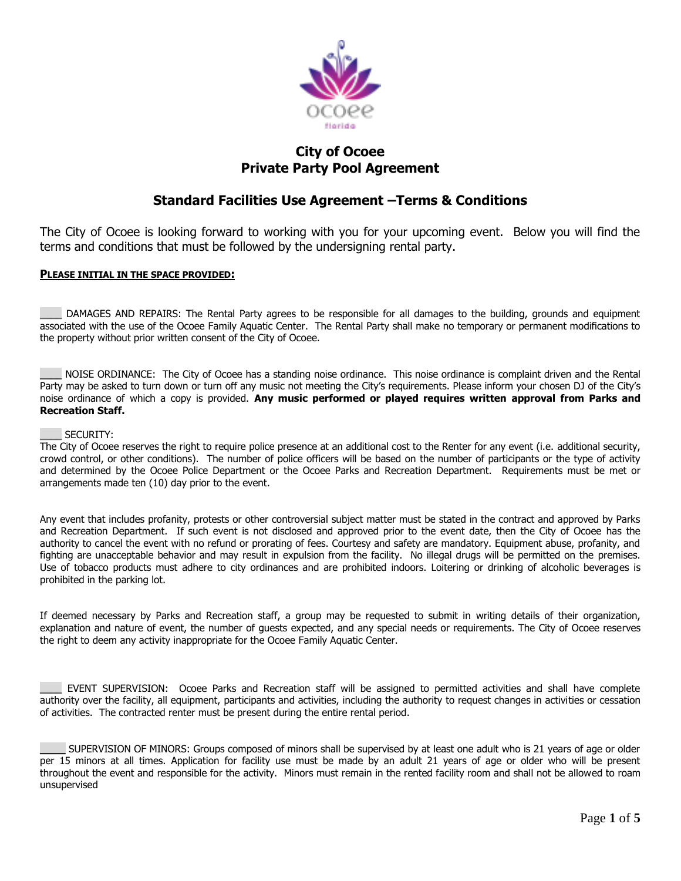

## **City of Ocoee Private Party Pool Agreement**

## **Standard Facilities Use Agreement –Terms & Conditions**

The City of Ocoee is looking forward to working with you for your upcoming event. Below you will find the terms and conditions that must be followed by the undersigning rental party.

### **PLEASE INITIAL IN THE SPACE PROVIDED:**

\_\_\_\_ DAMAGES AND REPAIRS: The Rental Party agrees to be responsible for all damages to the building, grounds and equipment associated with the use of the Ocoee Family Aquatic Center. The Rental Party shall make no temporary or permanent modifications to the property without prior written consent of the City of Ocoee.

NOISE ORDINANCE: The City of Ocoee has a standing noise ordinance. This noise ordinance is complaint driven and the Rental Party may be asked to turn down or turn off any music not meeting the City's requirements. Please inform your chosen DJ of the City's noise ordinance of which a copy is provided. **Any music performed or played requires written approval from Parks and Recreation Staff.**

#### SECURITY:

The City of Ocoee reserves the right to require police presence at an additional cost to the Renter for any event (i.e. additional security, crowd control, or other conditions). The number of police officers will be based on the number of participants or the type of activity and determined by the Ocoee Police Department or the Ocoee Parks and Recreation Department. Requirements must be met or arrangements made ten (10) day prior to the event.

Any event that includes profanity, protests or other controversial subject matter must be stated in the contract and approved by Parks and Recreation Department. If such event is not disclosed and approved prior to the event date, then the City of Ocoee has the authority to cancel the event with no refund or prorating of fees. Courtesy and safety are mandatory. Equipment abuse, profanity, and fighting are unacceptable behavior and may result in expulsion from the facility. No illegal drugs will be permitted on the premises. Use of tobacco products must adhere to city ordinances and are prohibited indoors. Loitering or drinking of alcoholic beverages is prohibited in the parking lot.

If deemed necessary by Parks and Recreation staff, a group may be requested to submit in writing details of their organization, explanation and nature of event, the number of guests expected, and any special needs or requirements. The City of Ocoee reserves the right to deem any activity inappropriate for the Ocoee Family Aquatic Center.

EVENT SUPERVISION: Ocoee Parks and Recreation staff will be assigned to permitted activities and shall have complete authority over the facility, all equipment, participants and activities, including the authority to request changes in activities or cessation of activities. The contracted renter must be present during the entire rental period.

**\_\_\_\_** SUPERVISION OF MINORS: Groups composed of minors shall be supervised by at least one adult who is 21 years of age or older per 15 minors at all times. Application for facility use must be made by an adult 21 years of age or older who will be present throughout the event and responsible for the activity. Minors must remain in the rented facility room and shall not be allowed to roam unsupervised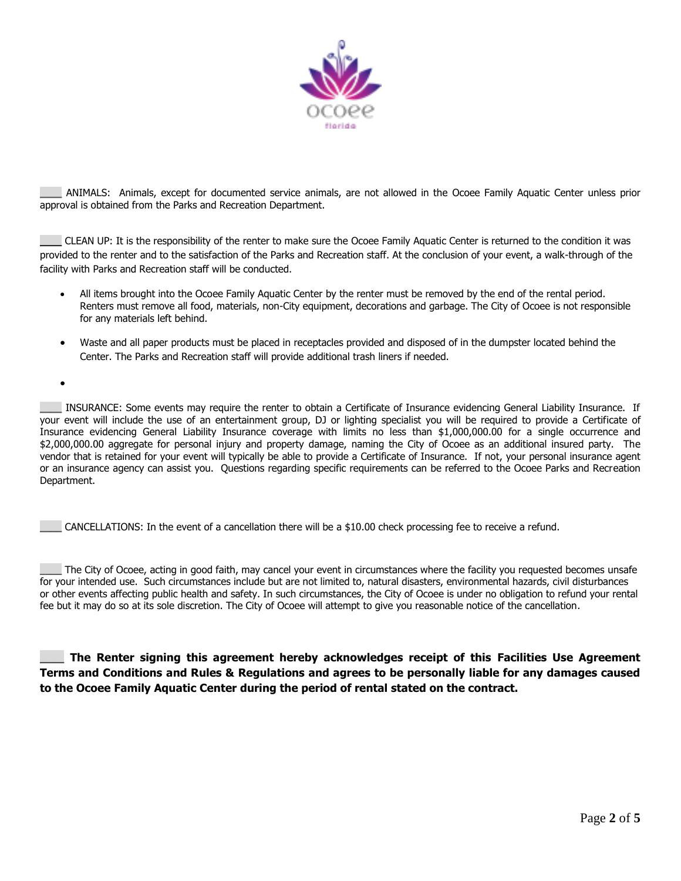

\_\_\_\_ ANIMALS: Animals, except for documented service animals, are not allowed in the Ocoee Family Aquatic Center unless prior approval is obtained from the Parks and Recreation Department.

\_\_\_\_ CLEAN UP: It is the responsibility of the renter to make sure the Ocoee Family Aquatic Center is returned to the condition it was provided to the renter and to the satisfaction of the Parks and Recreation staff. At the conclusion of your event, a walk-through of the facility with Parks and Recreation staff will be conducted.

- All items brought into the Ocoee Family Aquatic Center by the renter must be removed by the end of the rental period. Renters must remove all food, materials, non-City equipment, decorations and garbage. The City of Ocoee is not responsible for any materials left behind.
- Waste and all paper products must be placed in receptacles provided and disposed of in the dumpster located behind the Center. The Parks and Recreation staff will provide additional trash liners if needed.

 $\bullet$ 

\_\_\_\_ INSURANCE: Some events may require the renter to obtain a Certificate of Insurance evidencing General Liability Insurance. If your event will include the use of an entertainment group, DJ or lighting specialist you will be required to provide a Certificate of Insurance evidencing General Liability Insurance coverage with limits no less than \$1,000,000.00 for a single occurrence and \$2,000,000.00 aggregate for personal injury and property damage, naming the City of Ocoee as an additional insured party. The vendor that is retained for your event will typically be able to provide a Certificate of Insurance. If not, your personal insurance agent or an insurance agency can assist you. Questions regarding specific requirements can be referred to the Ocoee Parks and Recreation Department.

\_\_\_\_ CANCELLATIONS: In the event of a cancellation there will be a \$10.00 check processing fee to receive a refund.

The City of Ocoee, acting in good faith, may cancel your event in circumstances where the facility you requested becomes unsafe for your intended use. Such circumstances include but are not limited to, natural disasters, environmental hazards, civil disturbances or other events affecting public health and safety. In such circumstances, the City of Ocoee is under no obligation to refund your rental fee but it may do so at its sole discretion. The City of Ocoee will attempt to give you reasonable notice of the cancellation.

\_\_\_\_ **The Renter signing this agreement hereby acknowledges receipt of this Facilities Use Agreement Terms and Conditions and Rules & Regulations and agrees to be personally liable for any damages caused to the Ocoee Family Aquatic Center during the period of rental stated on the contract.**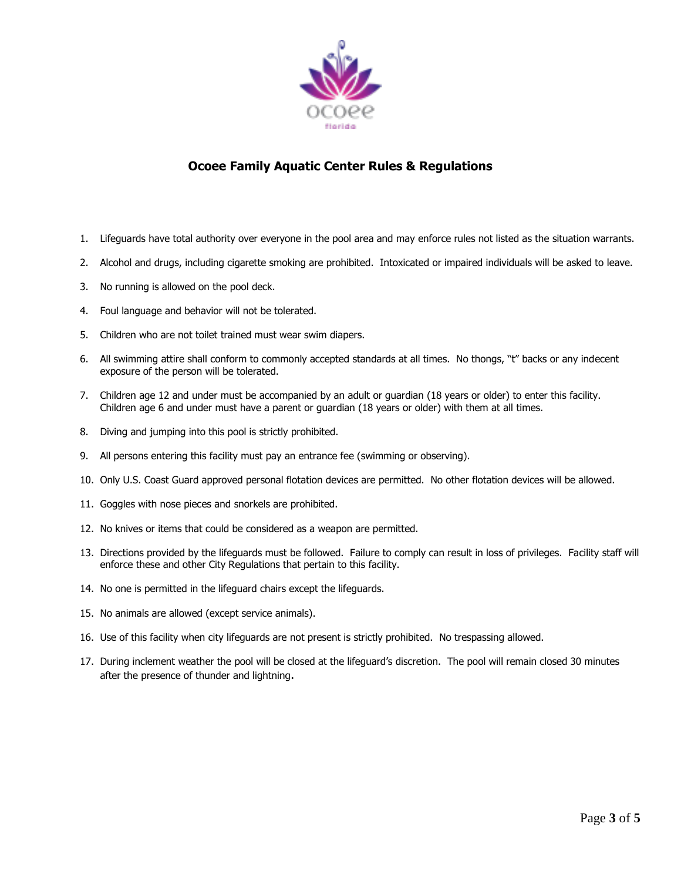

## **Ocoee Family Aquatic Center Rules & Regulations**

- 1. Lifeguards have total authority over everyone in the pool area and may enforce rules not listed as the situation warrants.
- 2. Alcohol and drugs, including cigarette smoking are prohibited. Intoxicated or impaired individuals will be asked to leave.
- 3. No running is allowed on the pool deck.
- 4. Foul language and behavior will not be tolerated.
- 5. Children who are not toilet trained must wear swim diapers.
- 6. All swimming attire shall conform to commonly accepted standards at all times. No thongs, "t" backs or any indecent exposure of the person will be tolerated.
- 7. Children age 12 and under must be accompanied by an adult or guardian (18 years or older) to enter this facility. Children age 6 and under must have a parent or guardian (18 years or older) with them at all times.
- 8. Diving and jumping into this pool is strictly prohibited.
- 9. All persons entering this facility must pay an entrance fee (swimming or observing).
- 10. Only U.S. Coast Guard approved personal flotation devices are permitted. No other flotation devices will be allowed.
- 11. Goggles with nose pieces and snorkels are prohibited.
- 12. No knives or items that could be considered as a weapon are permitted.
- 13. Directions provided by the lifeguards must be followed. Failure to comply can result in loss of privileges. Facility staff will enforce these and other City Regulations that pertain to this facility.
- 14. No one is permitted in the lifeguard chairs except the lifeguards.
- 15. No animals are allowed (except service animals).
- 16. Use of this facility when city lifeguards are not present is strictly prohibited. No trespassing allowed.
- 17. During inclement weather the pool will be closed at the lifeguard's discretion. The pool will remain closed 30 minutes after the presence of thunder and lightning.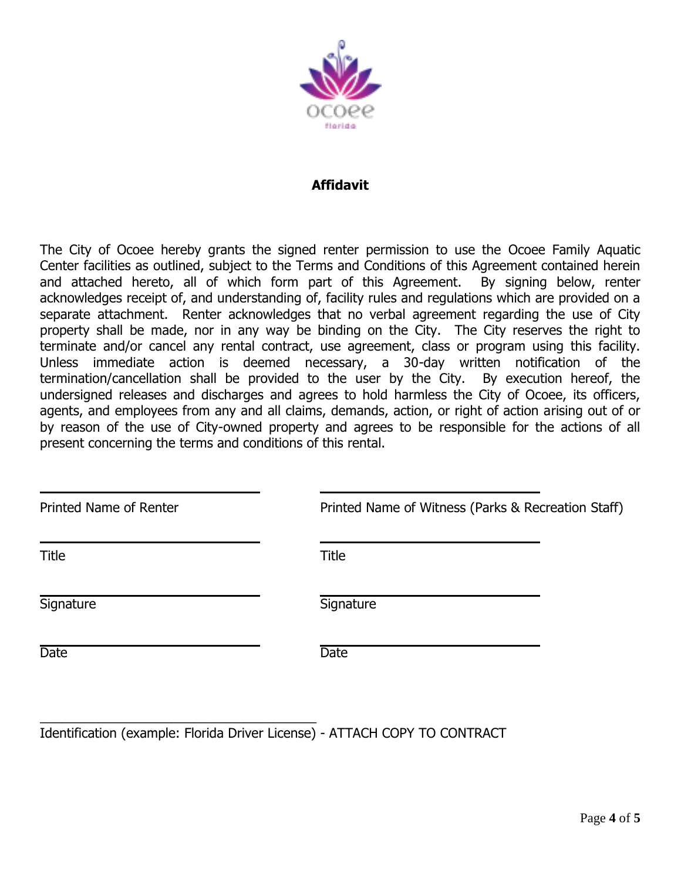

## **Affidavit**

The City of Ocoee hereby grants the signed renter permission to use the Ocoee Family Aquatic Center facilities as outlined, subject to the Terms and Conditions of this Agreement contained herein and attached hereto, all of which form part of this Agreement. By signing below, renter acknowledges receipt of, and understanding of, facility rules and regulations which are provided on a separate attachment. Renter acknowledges that no verbal agreement regarding the use of City property shall be made, nor in any way be binding on the City. The City reserves the right to terminate and/or cancel any rental contract, use agreement, class or program using this facility. Unless immediate action is deemed necessary, a 30-day written notification of the termination/cancellation shall be provided to the user by the City. By execution hereof, the undersigned releases and discharges and agrees to hold harmless the City of Ocoee, its officers, agents, and employees from any and all claims, demands, action, or right of action arising out of or by reason of the use of City-owned property and agrees to be responsible for the actions of all present concerning the terms and conditions of this rental.

| Printed Name of Renter | Printed Name of Witness (Parks & Recreation Staff) |  |
|------------------------|----------------------------------------------------|--|
| Title                  | <b>Title</b>                                       |  |
| Signature              | Signature                                          |  |
| <b>Date</b>            | <b>Date</b>                                        |  |
|                        |                                                    |  |

Identification (example: Florida Driver License) - ATTACH COPY TO CONTRACT

\_\_\_\_\_\_\_\_\_\_\_\_\_\_\_\_\_\_\_\_\_\_\_\_\_\_\_\_\_\_\_\_\_\_\_\_\_\_